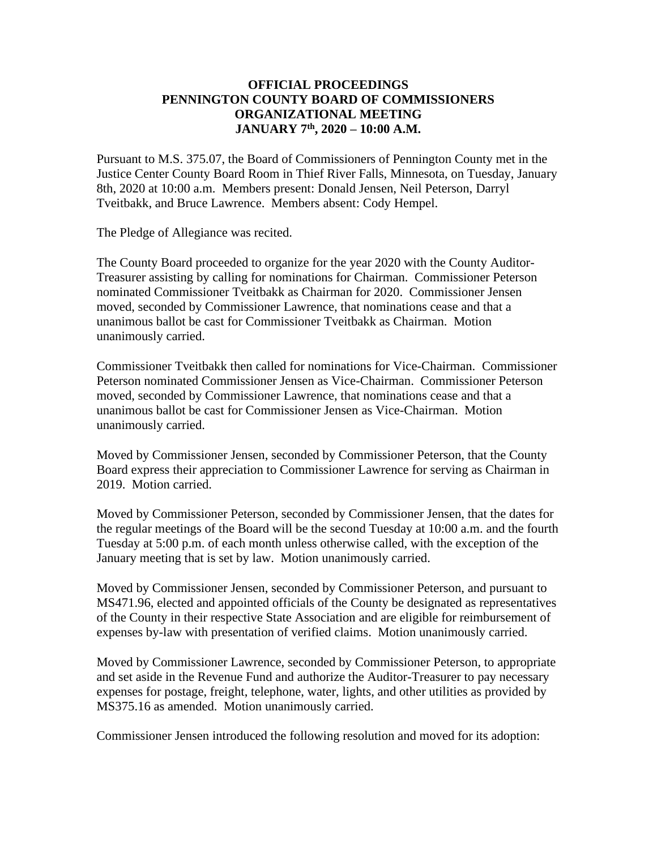# **OFFICIAL PROCEEDINGS PENNINGTON COUNTY BOARD OF COMMISSIONERS ORGANIZATIONAL MEETING JANUARY 7 th , 2020 – 10:00 A.M.**

Pursuant to M.S. 375.07, the Board of Commissioners of Pennington County met in the Justice Center County Board Room in Thief River Falls, Minnesota, on Tuesday, January 8th, 2020 at 10:00 a.m. Members present: Donald Jensen, Neil Peterson, Darryl Tveitbakk, and Bruce Lawrence. Members absent: Cody Hempel.

The Pledge of Allegiance was recited.

The County Board proceeded to organize for the year 2020 with the County Auditor-Treasurer assisting by calling for nominations for Chairman. Commissioner Peterson nominated Commissioner Tveitbakk as Chairman for 2020. Commissioner Jensen moved, seconded by Commissioner Lawrence, that nominations cease and that a unanimous ballot be cast for Commissioner Tveitbakk as Chairman. Motion unanimously carried.

Commissioner Tveitbakk then called for nominations for Vice-Chairman. Commissioner Peterson nominated Commissioner Jensen as Vice-Chairman. Commissioner Peterson moved, seconded by Commissioner Lawrence, that nominations cease and that a unanimous ballot be cast for Commissioner Jensen as Vice-Chairman. Motion unanimously carried.

Moved by Commissioner Jensen, seconded by Commissioner Peterson, that the County Board express their appreciation to Commissioner Lawrence for serving as Chairman in 2019. Motion carried.

Moved by Commissioner Peterson, seconded by Commissioner Jensen, that the dates for the regular meetings of the Board will be the second Tuesday at 10:00 a.m. and the fourth Tuesday at 5:00 p.m. of each month unless otherwise called, with the exception of the January meeting that is set by law. Motion unanimously carried.

Moved by Commissioner Jensen, seconded by Commissioner Peterson, and pursuant to MS471.96, elected and appointed officials of the County be designated as representatives of the County in their respective State Association and are eligible for reimbursement of expenses by-law with presentation of verified claims. Motion unanimously carried.

Moved by Commissioner Lawrence, seconded by Commissioner Peterson, to appropriate and set aside in the Revenue Fund and authorize the Auditor-Treasurer to pay necessary expenses for postage, freight, telephone, water, lights, and other utilities as provided by MS375.16 as amended. Motion unanimously carried.

Commissioner Jensen introduced the following resolution and moved for its adoption: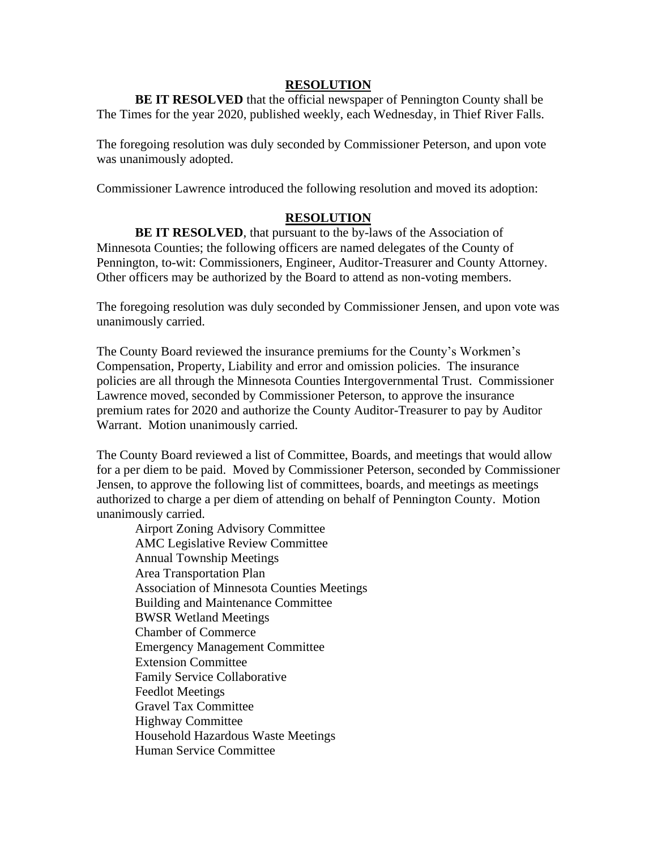#### **RESOLUTION**

**BE IT RESOLVED** that the official newspaper of Pennington County shall be The Times for the year 2020, published weekly, each Wednesday, in Thief River Falls.

The foregoing resolution was duly seconded by Commissioner Peterson, and upon vote was unanimously adopted.

Commissioner Lawrence introduced the following resolution and moved its adoption:

#### **RESOLUTION**

**BE IT RESOLVED**, that pursuant to the by-laws of the Association of Minnesota Counties; the following officers are named delegates of the County of Pennington, to-wit: Commissioners, Engineer, Auditor-Treasurer and County Attorney. Other officers may be authorized by the Board to attend as non-voting members.

The foregoing resolution was duly seconded by Commissioner Jensen, and upon vote was unanimously carried.

The County Board reviewed the insurance premiums for the County's Workmen's Compensation, Property, Liability and error and omission policies. The insurance policies are all through the Minnesota Counties Intergovernmental Trust. Commissioner Lawrence moved, seconded by Commissioner Peterson, to approve the insurance premium rates for 2020 and authorize the County Auditor-Treasurer to pay by Auditor Warrant. Motion unanimously carried.

The County Board reviewed a list of Committee, Boards, and meetings that would allow for a per diem to be paid. Moved by Commissioner Peterson, seconded by Commissioner Jensen, to approve the following list of committees, boards, and meetings as meetings authorized to charge a per diem of attending on behalf of Pennington County. Motion unanimously carried.

Airport Zoning Advisory Committee AMC Legislative Review Committee Annual Township Meetings Area Transportation Plan Association of Minnesota Counties Meetings Building and Maintenance Committee BWSR Wetland Meetings Chamber of Commerce Emergency Management Committee Extension Committee Family Service Collaborative Feedlot Meetings Gravel Tax Committee Highway Committee Household Hazardous Waste Meetings Human Service Committee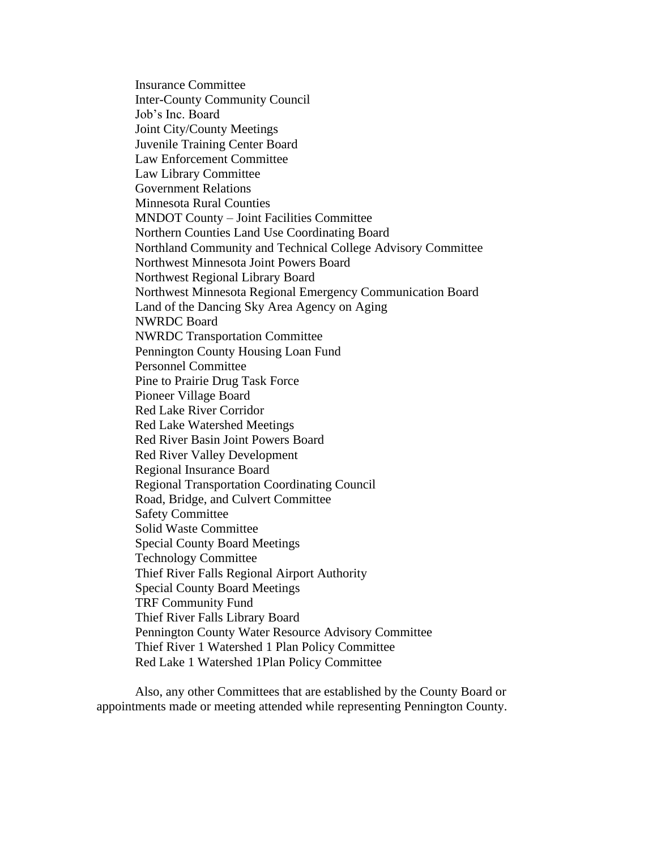Insurance Committee Inter-County Community Council Job's Inc. Board Joint City/County Meetings Juvenile Training Center Board Law Enforcement Committee Law Library Committee Government Relations Minnesota Rural Counties MNDOT County – Joint Facilities Committee Northern Counties Land Use Coordinating Board Northland Community and Technical College Advisory Committee Northwest Minnesota Joint Powers Board Northwest Regional Library Board Northwest Minnesota Regional Emergency Communication Board Land of the Dancing Sky Area Agency on Aging NWRDC Board NWRDC Transportation Committee Pennington County Housing Loan Fund Personnel Committee Pine to Prairie Drug Task Force Pioneer Village Board Red Lake River Corridor Red Lake Watershed Meetings Red River Basin Joint Powers Board Red River Valley Development Regional Insurance Board Regional Transportation Coordinating Council Road, Bridge, and Culvert Committee Safety Committee Solid Waste Committee Special County Board Meetings Technology Committee Thief River Falls Regional Airport Authority Special County Board Meetings TRF Community Fund Thief River Falls Library Board Pennington County Water Resource Advisory Committee Thief River 1 Watershed 1 Plan Policy Committee Red Lake 1 Watershed 1Plan Policy Committee

Also, any other Committees that are established by the County Board or appointments made or meeting attended while representing Pennington County.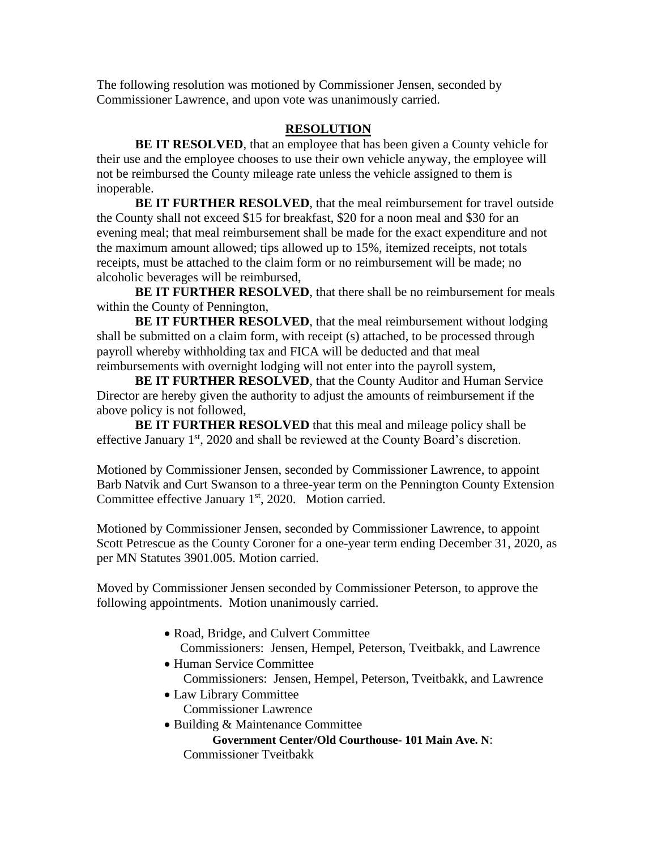The following resolution was motioned by Commissioner Jensen, seconded by Commissioner Lawrence, and upon vote was unanimously carried.

# **RESOLUTION**

**BE IT RESOLVED**, that an employee that has been given a County vehicle for their use and the employee chooses to use their own vehicle anyway, the employee will not be reimbursed the County mileage rate unless the vehicle assigned to them is inoperable.

**BE IT FURTHER RESOLVED**, that the meal reimbursement for travel outside the County shall not exceed \$15 for breakfast, \$20 for a noon meal and \$30 for an evening meal; that meal reimbursement shall be made for the exact expenditure and not the maximum amount allowed; tips allowed up to 15%, itemized receipts, not totals receipts, must be attached to the claim form or no reimbursement will be made; no alcoholic beverages will be reimbursed,

**BE IT FURTHER RESOLVED**, that there shall be no reimbursement for meals within the County of Pennington,

**BE IT FURTHER RESOLVED**, that the meal reimbursement without lodging shall be submitted on a claim form, with receipt (s) attached, to be processed through payroll whereby withholding tax and FICA will be deducted and that meal reimbursements with overnight lodging will not enter into the payroll system,

**BE IT FURTHER RESOLVED**, that the County Auditor and Human Service Director are hereby given the authority to adjust the amounts of reimbursement if the above policy is not followed,

**BE IT FURTHER RESOLVED** that this meal and mileage policy shall be effective January 1<sup>st</sup>, 2020 and shall be reviewed at the County Board's discretion.

Motioned by Commissioner Jensen, seconded by Commissioner Lawrence, to appoint Barb Natvik and Curt Swanson to a three-year term on the Pennington County Extension Committee effective January 1<sup>st</sup>, 2020. Motion carried.

Motioned by Commissioner Jensen, seconded by Commissioner Lawrence, to appoint Scott Petrescue as the County Coroner for a one-year term ending December 31, 2020, as per MN Statutes 3901.005. Motion carried.

Moved by Commissioner Jensen seconded by Commissioner Peterson, to approve the following appointments. Motion unanimously carried.

- Road, Bridge, and Culvert Committee Commissioners: Jensen, Hempel, Peterson, Tveitbakk, and Lawrence
- Human Service Committee Commissioners: Jensen, Hempel, Peterson, Tveitbakk, and Lawrence
- Law Library Committee Commissioner Lawrence
- Building & Maintenance Committee **Government Center/Old Courthouse- 101 Main Ave. N**: Commissioner Tveitbakk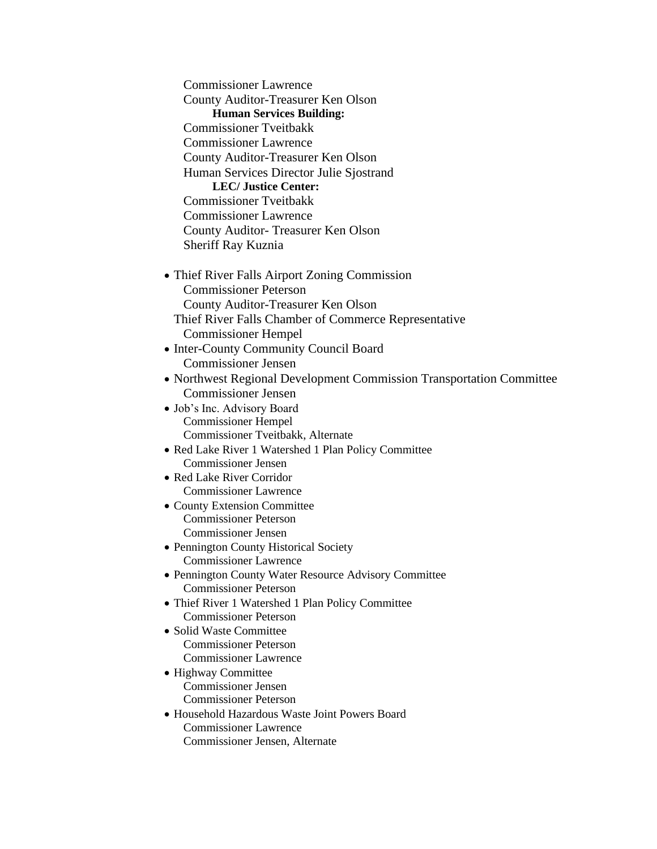Commissioner Lawrence County Auditor-Treasurer Ken Olson **Human Services Building:** Commissioner Tveitbakk Commissioner Lawrence County Auditor-Treasurer Ken Olson Human Services Director Julie Sjostrand **LEC/ Justice Center:** Commissioner Tveitbakk Commissioner Lawrence County Auditor- Treasurer Ken Olson Sheriff Ray Kuznia • Thief River Falls Airport Zoning Commission Commissioner Peterson County Auditor-Treasurer Ken Olson Thief River Falls Chamber of Commerce Representative Commissioner Hempel • Inter-County Community Council Board Commissioner Jensen • Northwest Regional Development Commission Transportation Committee Commissioner Jensen • Job's Inc. Advisory Board Commissioner Hempel Commissioner Tveitbakk, Alternate • Red Lake River 1 Watershed 1 Plan Policy Committee Commissioner Jensen • Red Lake River Corridor Commissioner Lawrence • County Extension Committee Commissioner Peterson Commissioner Jensen • Pennington County Historical Society Commissioner Lawrence • Pennington County Water Resource Advisory Committee Commissioner Peterson • Thief River 1 Watershed 1 Plan Policy Committee Commissioner Peterson • Solid Waste Committee Commissioner Peterson Commissioner Lawrence • Highway Committee Commissioner Jensen Commissioner Peterson • Household Hazardous Waste Joint Powers Board Commissioner Lawrence Commissioner Jensen, Alternate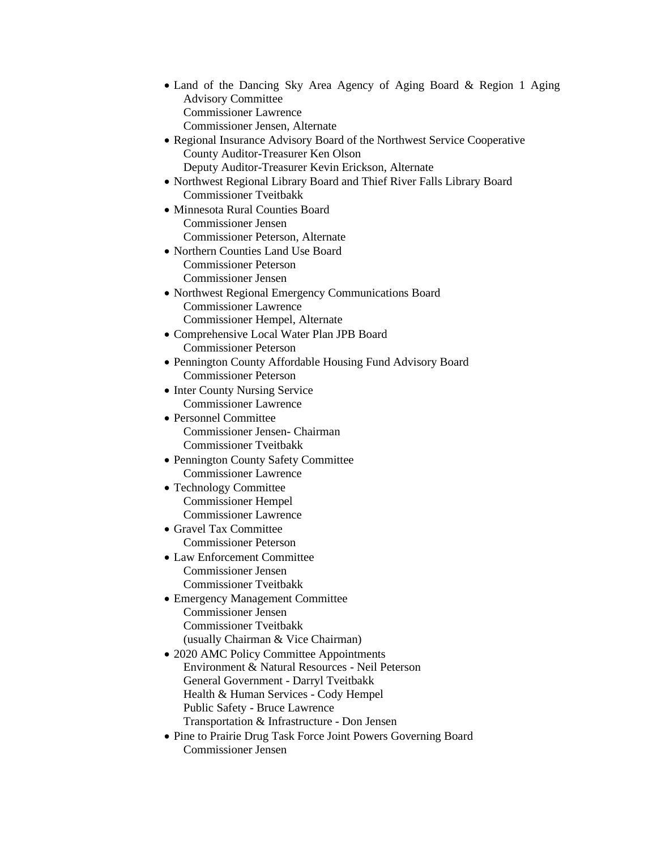- Land of the Dancing Sky Area Agency of Aging Board & Region 1 Aging Advisory Committee Commissioner Lawrence Commissioner Jensen, Alternate
- Regional Insurance Advisory Board of the Northwest Service Cooperative County Auditor-Treasurer Ken Olson Deputy Auditor-Treasurer Kevin Erickson, Alternate
- Northwest Regional Library Board and Thief River Falls Library Board Commissioner Tveitbakk
- Minnesota Rural Counties Board Commissioner Jensen Commissioner Peterson, Alternate
- Northern Counties Land Use Board Commissioner Peterson Commissioner Jensen
- Northwest Regional Emergency Communications Board Commissioner Lawrence Commissioner Hempel, Alternate
- Comprehensive Local Water Plan JPB Board Commissioner Peterson
- Pennington County Affordable Housing Fund Advisory Board Commissioner Peterson
- Inter County Nursing Service Commissioner Lawrence
- Personnel Committee Commissioner Jensen- Chairman Commissioner Tveitbakk
- Pennington County Safety Committee Commissioner Lawrence
- Technology Committee Commissioner Hempel Commissioner Lawrence
- Gravel Tax Committee Commissioner Peterson
- Law Enforcement Committee Commissioner Jensen Commissioner Tveitbakk
- Emergency Management Committee Commissioner Jensen Commissioner Tveitbakk (usually Chairman & Vice Chairman)
- 2020 AMC Policy Committee Appointments Environment & Natural Resources - Neil Peterson General Government - Darryl Tveitbakk Health & Human Services - Cody Hempel Public Safety - Bruce Lawrence Transportation & Infrastructure - Don Jensen
- Pine to Prairie Drug Task Force Joint Powers Governing Board Commissioner Jensen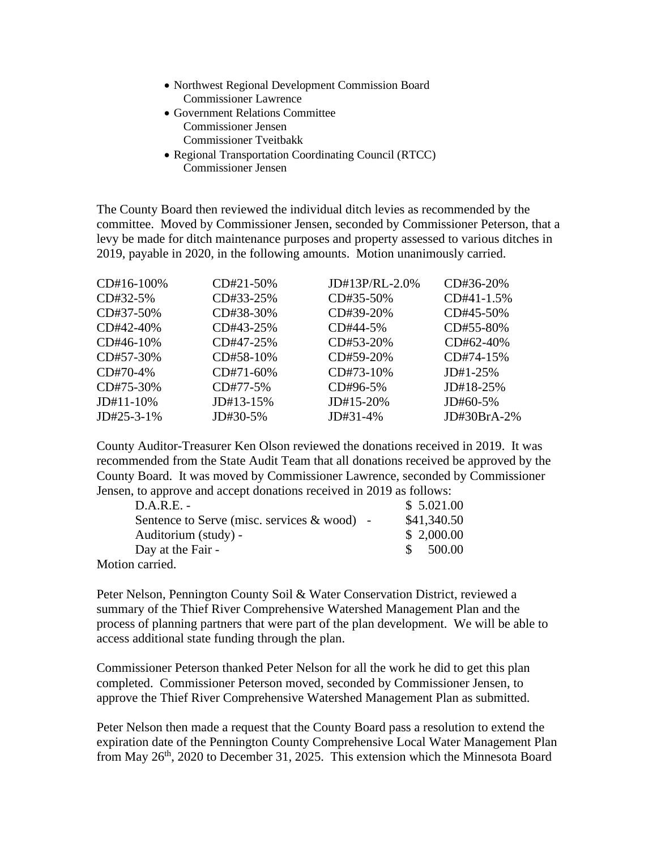- Northwest Regional Development Commission Board Commissioner Lawrence
- Government Relations Committee Commissioner Jensen Commissioner Tveitbakk
- Regional Transportation Coordinating Council (RTCC) Commissioner Jensen

The County Board then reviewed the individual ditch levies as recommended by the committee. Moved by Commissioner Jensen, seconded by Commissioner Peterson, that a levy be made for ditch maintenance purposes and property assessed to various ditches in 2019, payable in 2020, in the following amounts. Motion unanimously carried.

| CD#16-100\%   | $CD#21-50%$ | $JD#13P/RL-2.0\%$ | CD#36-20%     |
|---------------|-------------|-------------------|---------------|
| $CD#32-5%$    | CD#33-25%   | $CD#35-50\%$      | $CD#41-1.5%$  |
| CD#37-50%     | CD#38-30%   | CD#39-20%         | $CD#45-50\%$  |
| $CD#42-40%$   | CD#43-25%   | CD#44-5%          | CD#55-80%     |
| $CD#46-10%$   | $CD#47-25%$ | $CD#53-20%$       | $CD#62-40%$   |
| CD#57-30%     | $CD#58-10%$ | $CD#59-20%$       | $CD#74-15%$   |
| $CD#70-4%$    | $CD#71-60%$ | $CD#73-10\%$      | $JD#1-25\%$   |
| $CD#75-30%$   | $CD#77-5%$  | CD#96-5%          | $JD#18-25%$   |
| $JD#11-10\%$  | $JD#13-15%$ | $JD#15-20\%$      | $J$ D#60-5%   |
| $JD#25-3-1\%$ | JD#30-5%    | JD#31-4%          | $JD#30BrA-2%$ |

County Auditor-Treasurer Ken Olson reviewed the donations received in 2019. It was recommended from the State Audit Team that all donations received be approved by the County Board. It was moved by Commissioner Lawrence, seconded by Commissioner Jensen, to approve and accept donations received in 2019 as follows:

| $D.A.R.E. -$                                  | \$5.021.00  |
|-----------------------------------------------|-------------|
| Sentence to Serve (misc. services $&$ wood) - | \$41,340.50 |
| Auditorium (study) -                          | \$2,000.00  |
| Day at the Fair -                             | \$500.00    |
| . 1                                           |             |

Motion carried.

Peter Nelson, Pennington County Soil & Water Conservation District, reviewed a summary of the Thief River Comprehensive Watershed Management Plan and the process of planning partners that were part of the plan development. We will be able to access additional state funding through the plan.

Commissioner Peterson thanked Peter Nelson for all the work he did to get this plan completed. Commissioner Peterson moved, seconded by Commissioner Jensen, to approve the Thief River Comprehensive Watershed Management Plan as submitted.

Peter Nelson then made a request that the County Board pass a resolution to extend the expiration date of the Pennington County Comprehensive Local Water Management Plan from May 26<sup>th</sup>, 2020 to December 31, 2025. This extension which the Minnesota Board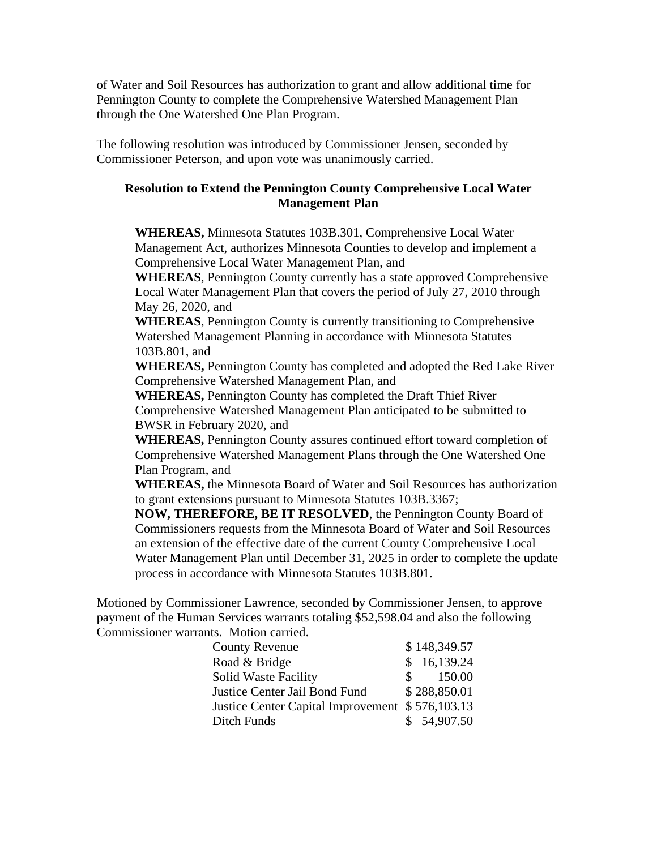of Water and Soil Resources has authorization to grant and allow additional time for Pennington County to complete the Comprehensive Watershed Management Plan through the One Watershed One Plan Program.

The following resolution was introduced by Commissioner Jensen, seconded by Commissioner Peterson, and upon vote was unanimously carried.

## **Resolution to Extend the Pennington County Comprehensive Local Water Management Plan**

**WHEREAS,** Minnesota Statutes 103B.301, Comprehensive Local Water Management Act, authorizes Minnesota Counties to develop and implement a Comprehensive Local Water Management Plan, and

**WHEREAS**, Pennington County currently has a state approved Comprehensive Local Water Management Plan that covers the period of July 27, 2010 through May 26, 2020, and

**WHEREAS**, Pennington County is currently transitioning to Comprehensive Watershed Management Planning in accordance with Minnesota Statutes 103B.801, and

**WHEREAS,** Pennington County has completed and adopted the Red Lake River Comprehensive Watershed Management Plan, and

**WHEREAS,** Pennington County has completed the Draft Thief River Comprehensive Watershed Management Plan anticipated to be submitted to BWSR in February 2020, and

**WHEREAS,** Pennington County assures continued effort toward completion of Comprehensive Watershed Management Plans through the One Watershed One Plan Program, and

**WHEREAS,** the Minnesota Board of Water and Soil Resources has authorization to grant extensions pursuant to Minnesota Statutes 103B.3367;

**NOW, THEREFORE, BE IT RESOLVED**, the Pennington County Board of Commissioners requests from the Minnesota Board of Water and Soil Resources an extension of the effective date of the current County Comprehensive Local Water Management Plan until December 31, 2025 in order to complete the update process in accordance with Minnesota Statutes 103B.801.

Motioned by Commissioner Lawrence, seconded by Commissioner Jensen, to approve payment of the Human Services warrants totaling \$52,598.04 and also the following Commissioner warrants. Motion carried.

| <b>County Revenue</b>                           | \$148,349.57 |
|-------------------------------------------------|--------------|
| Road & Bridge                                   | \$16,139.24  |
| <b>Solid Waste Facility</b>                     | 150.00       |
| Justice Center Jail Bond Fund                   | \$288,850.01 |
| Justice Center Capital Improvement \$576,103.13 |              |
| Ditch Funds                                     | \$54,907.50  |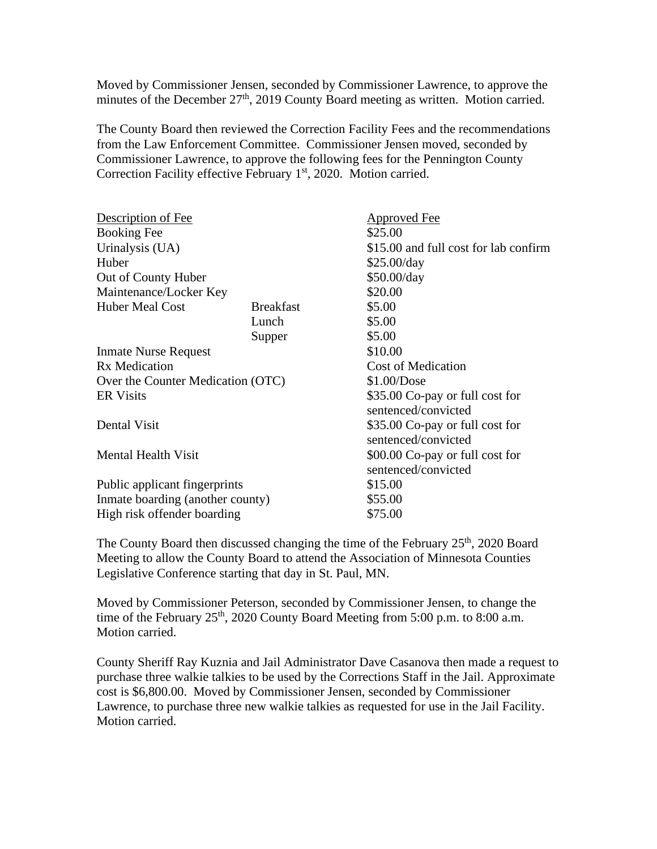Moved by Commissioner Jensen, seconded by Commissioner Lawrence, to approve the minutes of the December  $27<sup>th</sup>$ , 2019 County Board meeting as written. Motion carried.

The County Board then reviewed the Correction Facility Fees and the recommendations from the Law Enforcement Committee. Commissioner Jensen moved, seconded by Commissioner Lawrence, to approve the following fees for the Pennington County Correction Facility effective February 1<sup>st</sup>, 2020. Motion carried.

| Description of Fee                |                  | <b>Approved Fee</b>                                    |
|-----------------------------------|------------------|--------------------------------------------------------|
| <b>Booking Fee</b>                |                  | \$25.00                                                |
| Urinalysis (UA)                   |                  | \$15.00 and full cost for lab confirm                  |
| Huber                             |                  | \$25.00/day                                            |
| Out of County Huber               |                  | \$50.00/day                                            |
| Maintenance/Locker Key            |                  | \$20.00                                                |
| <b>Huber Meal Cost</b>            | <b>Breakfast</b> | \$5.00                                                 |
|                                   | Lunch            | \$5.00                                                 |
|                                   | Supper           | \$5.00                                                 |
| <b>Inmate Nurse Request</b>       |                  | \$10.00                                                |
| <b>Rx</b> Medication              |                  | <b>Cost of Medication</b>                              |
| Over the Counter Medication (OTC) |                  | \$1.00/Dose                                            |
| <b>ER Visits</b>                  |                  | \$35.00 Co-pay or full cost for<br>sentenced/convicted |
| Dental Visit                      |                  | \$35.00 Co-pay or full cost for<br>sentenced/convicted |
| <b>Mental Health Visit</b>        |                  | \$00.00 Co-pay or full cost for<br>sentenced/convicted |
| Public applicant fingerprints     |                  | \$15.00                                                |
| Inmate boarding (another county)  |                  | \$55.00                                                |
| High risk offender boarding       |                  | \$75.00                                                |

The County Board then discussed changing the time of the February 25<sup>th</sup>, 2020 Board Meeting to allow the County Board to attend the Association of Minnesota Counties Legislative Conference starting that day in St. Paul, MN.

Moved by Commissioner Peterson, seconded by Commissioner Jensen, to change the time of the February  $25<sup>th</sup>$ , 2020 County Board Meeting from 5:00 p.m. to 8:00 a.m. Motion carried.

County Sheriff Ray Kuznia and Jail Administrator Dave Casanova then made a request to purchase three walkie talkies to be used by the Corrections Staff in the Jail. Approximate cost is \$6,800.00. Moved by Commissioner Jensen, seconded by Commissioner Lawrence, to purchase three new walkie talkies as requested for use in the Jail Facility. Motion carried.